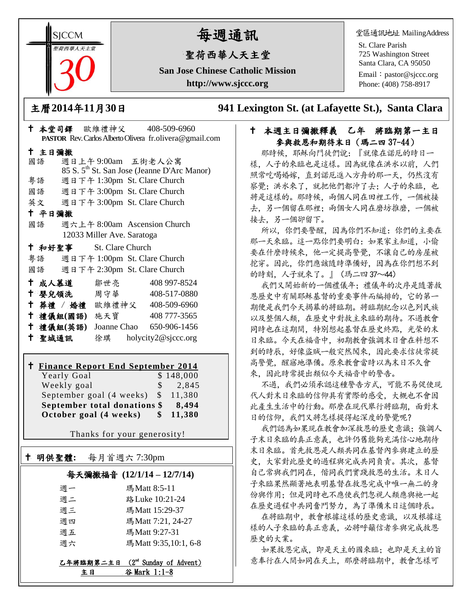**SICCM** 智荷西華人天主堂

# 每週通訊

# 聖荷西華人天主堂

**San Jose Chinese Catholic Mission http://www.sjccc.org**

堂區通訊地址 MailingAddress

St. Clare Parish 725 Washington Street Santa Clara, CA 95050

Email: [pastor@sjccc.org](mailto:pastor@sjccc.org) Phone: (408) 758-8917

主曆**2014**年**11**月**30**日 **941 Lexington St. (at Lafayette St.), Santa Clara** 

#### 十 本週主日彌撒釋義 乙年 將臨期第一主日 參與救恩和期待末日(瑪二四 37-44)

那時候,耶穌向門徒們說:『就像在諾厄的時日一 樣,人子的來臨也是這樣。因為就像在洪水以前,人們 照常吃喝婚嫁,直到諾厄進入方舟的那一天,仍然沒有 察覺;洪水來了,就把他們都沖了去;人子的來臨,也 將是這樣的。那時候,兩個人同在田裡工作,一個被接 去,另一個留在那裡;兩個女人同在磨坊推磨,一個被 接去,另一個卻留下。

所以,你們要警醒,因為你們不知道:你們的主要在 那一天來臨。這一點你們要明白:如果家主知道,小偷 要在什麼時候來,他一定提高警覺,不讓自己的房屋被 挖穿。因此,你們應該隨時準備好,因為在你們想不到 的時刻,人子就來了。』(瑪二四37~44)

我們又開始新的一個禮儀年;禮儀年的次序是隨著救 恩歷史中有關耶穌基督的重要事件而編排的,它的第一 期便是我們今天揭幕的將臨期。將臨期紀念以色列民族 以及整個人類,在歷史中對救主來臨的期待。不過教會 同時也在這期間,特別想起基督在歷史終點,光榮的末 日來臨。今天在福音中,初期教會強調末日會在料想不 到的時辰,好像盜賊一般突然闖來,因此要求信徒常提 高警覺,醒寤地準備。原來教會當時以為末日不久會 來,因此時常提出類似今天福音中的警告。

不過,我們必須承認這種警告方式,可能不易促使現 代人對末日來臨的信仰具有實際的感受,大概也不會因 此產生生活中的行動。那麼在現代舉行將臨期,面對末 日的信仰,我們又將怎樣提得起深度的警覺呢?

我們認為如果現在教會加深救恩的歷史意識;強調人 子末日來臨的真正意義,也許仍舊能夠充滿信心地期待 末日來臨。首先救恩是人類共同在基督內參與建立的歷 史,大家對此歷史的過程與完成共同負責。其次,基督 自己常與我們同在,偕同我們實踐救恩的生活。末日人 子來臨果然顯著地表明基督在救恩完成中唯一無二的身 份與作用;但是同時也不應使我們忽視人類應與祂一起 在歷史過程中共同奮鬥努力,為了準備末日這個時辰。

在將臨期中,教會根據這樣的歷史意識,以及根據這 樣的人子來臨的真正意義,必將呼籲信者參與完成救恩 歷史的大業。

如果救恩完成,即是天主的國來臨;也即是天主的旨 意奉行在人間如同在天上,那麼將臨期中,教會怎樣可

|        |           |                                    | $ \frac{1}{2}$ $\frac{1}{2}$ $\frac{1}{2}$ $\frac{1}{2}$ $\frac{1}{2}$ $\frac{1}{2}$ $\frac{1}{2}$ $\frac{1}{2}$ $\frac{1}{2}$ $\frac{1}{2}$ $\frac{1}{2}$ $\frac{1}{2}$ $\frac{1}{2}$ $\frac{1}{2}$ $\frac{1}{2}$ $\frac{1}{2}$ $\frac{1}{2}$ $\frac{1}{2}$ $\frac{1}{2}$ $\frac{1}{2}$ $\frac{1}{2}$ $\frac{1}{2$ |
|--------|-----------|------------------------------------|---------------------------------------------------------------------------------------------------------------------------------------------------------------------------------------------------------------------------------------------------------------------------------------------------------------------|
|        |           |                                    | <b>PASTOR</b> Rev. Carlos Alberto Olivera fr. olivera @ gmail.com                                                                                                                                                                                                                                                   |
| 十 主日彌撒 |           |                                    |                                                                                                                                                                                                                                                                                                                     |
|        |           |                                    | 國語 週日上午9:00am 五街老人公寓                                                                                                                                                                                                                                                                                                |
|        |           |                                    | 85 S. 5 <sup>th</sup> St. San Jose (Jeanne D'Arc Manor)                                                                                                                                                                                                                                                             |
|        |           |                                    | 粤語 週日下午 1:30pm St. Clare Church                                                                                                                                                                                                                                                                                     |
|        |           |                                    | 國語 週日下午 3:00pm St. Clare Church                                                                                                                                                                                                                                                                                     |
|        |           |                                    | 英文 週日下午 3:00pm St. Clare Church                                                                                                                                                                                                                                                                                     |
| 十 平日彌撒 |           |                                    |                                                                                                                                                                                                                                                                                                                     |
|        |           |                                    | 國語   週六上午 8:00am Ascension Church                                                                                                                                                                                                                                                                                   |
|        |           | 12033 Miller Ave. Saratoga         |                                                                                                                                                                                                                                                                                                                     |
|        |           | <sup>†</sup> 和好聖事 St. Clare Church |                                                                                                                                                                                                                                                                                                                     |
|        |           |                                    | 粤語 週日下午 1:00pm St. Clare Church                                                                                                                                                                                                                                                                                     |
|        |           |                                    | 國語 週日下午 2:30pm St. Clare Church                                                                                                                                                                                                                                                                                     |
|        |           | ← 成人慕道   鄒世亮                       | 408 997-8524                                                                                                                                                                                                                                                                                                        |
|        |           | ↑ 嬰兒領洗 周守華 ろんじょう                   | 408-517-0880                                                                                                                                                                                                                                                                                                        |
|        |           |                                    | † 葬禮 / 婚禮 歐維禮神父 408-509-6960                                                                                                                                                                                                                                                                                        |
|        |           |                                    | † 禮儀組(國語) 施天寶 408777-3565                                                                                                                                                                                                                                                                                           |
|        | 十 禮儀組(英語) |                                    | Joanne Chao 650-906-1456                                                                                                                                                                                                                                                                                            |
| 十 聖城通訊 |           |                                    | 徐琪 holycity2@sjccc.org                                                                                                                                                                                                                                                                                              |

本堂司鐸 歐維禮神父 408-509-6960

## **Finance Report End September 2014**

| October goal (4 weeks)       | S.    | 11,380    |
|------------------------------|-------|-----------|
| September total donations \$ | 8,494 |           |
| September goal (4 weeks) \$  |       | 11.380    |
| Weekly goal                  | S     | 2,845     |
| Yearly Goal                  |       | \$148,000 |

Thanks for your generosity!

# 明供聖體**:** 每月首週六 7:30pm

Ξ

# 每天彌撒福音 **(12/1/14 – 12/7/14)**

| 週一 | 瑪Matt 8:5-11         |
|----|----------------------|
| 调二 | 路 Luke 10:21-24      |
| 週三 | 瑪Matt 15:29-37       |
| 週四 | 瑪Matt 7:21, 24-27    |
| 週五 | 瑪Matt 9:27-31        |
| 週六 | 瑪Matt 9:35,10:1, 6-8 |
|    |                      |

乙年將臨期第二主日 (2<sup>nd</sup> Sunday of Advent) 主日 谷 Mark 1:1-8